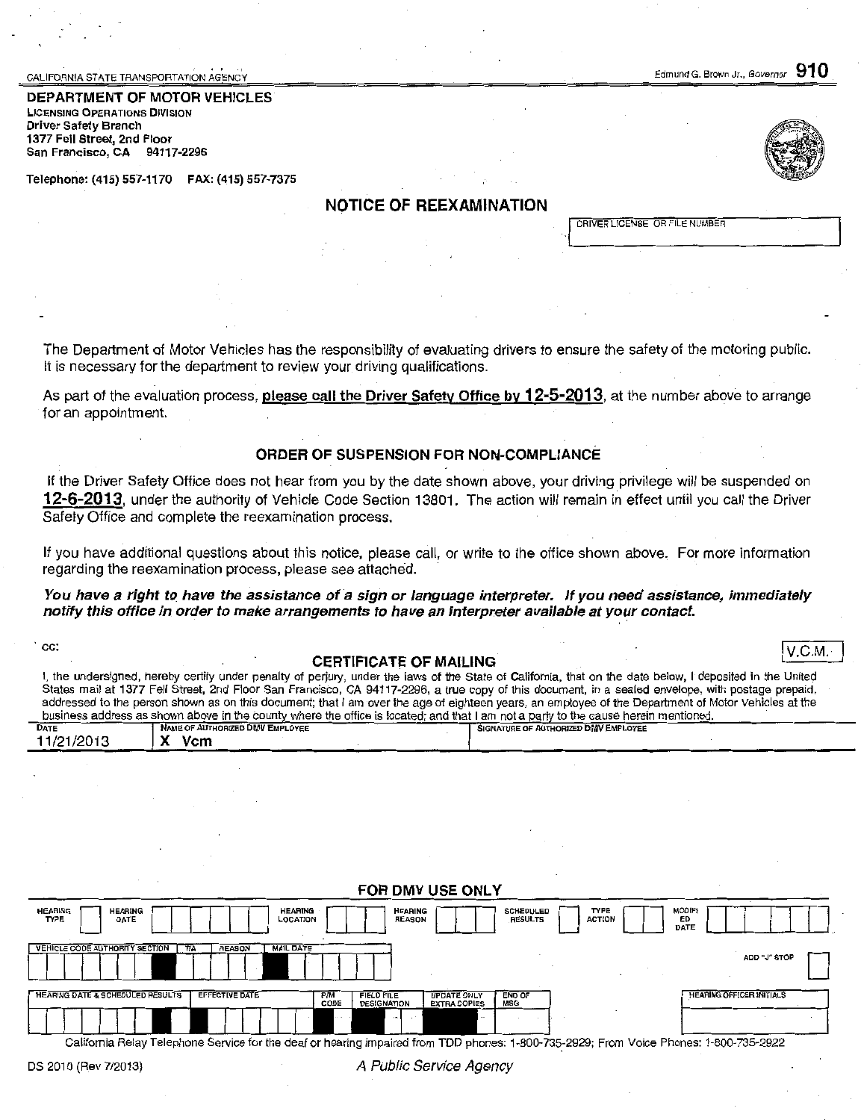CALIFORNIA STATE TRANSPORTATION AGENCY

Edmund G. Brown Jr., Governor  $910$ 

DEPARTMENT OF MOTOR VEHICLES LICENSING OPERATIONS DIVISION Driver Safety Branch 1377 Fell Street, 2nd Floor San Francisco, CA 94117-2296

Telephone: (415) 557-1170 FAX: (415) 557-7375

# NOTICE OF REEXAMINATION

DRIVER LICENSE OR FILE NUMBER

The Department of Motor Vehicles has the responsibility of evaluating drivers to ensure the safety of the motoring public. It is necessary for the department to review your driving qualifications.

As part of the evaluation process, please call the Driver Safety Office by 12-5-2013, at the number above to arrange for an appointment.

#### ORDER OF SUSPENSION FOR NON-COMPLIANCE

If the Driver Safety Office does not hear from you by the date shown above, your driving privilege will be suspended on 12-6-2013, under the authority of Vehicle Code Section 13801. The action will remain in effect until you call the Driver Safety Office and complete the reexamination process.

If you have additional questions about this notice, please call, or write to the office shown above. For more information regarding the reexamination process, please see attached.

You have a right to have the assistance of a sign or language interpreter. If you need assistance, immediately notify this office in order to make arrangements to have an interpreter available at your contact.

# co. CERTIFICATE OF MAILING Laterature of the contract of the contract of the contract of the contract of the contract of the contract of the contract of the contract of the contract of the contract of the contract of the c

|                                                                                                                                                     |                                 | I, the undersigned, hereby certify under penalty of perjury, under the laws of the State of California, that on the date below, I deposited in the United |  |  |  |  |
|-----------------------------------------------------------------------------------------------------------------------------------------------------|---------------------------------|-----------------------------------------------------------------------------------------------------------------------------------------------------------|--|--|--|--|
| States mail at 1377 Fell Street, 2nd Floor San Francisco, CA 94117-2296, a true copy of this document, in a sealed envelope, with postage prepaid,  |                                 |                                                                                                                                                           |  |  |  |  |
| addressed to the person shown as on this document; that I am over the age of eighteen years, an employee of the Department of Motor Vehicles at the |                                 |                                                                                                                                                           |  |  |  |  |
| business address as shown above in the county where the office is located; and that I am not a party to the cause herein mentioned.                 |                                 |                                                                                                                                                           |  |  |  |  |
| DATE                                                                                                                                                | NAME OF AUTHORIZED DMV EMPLOYEE | SIGNATURE OF AUTHORIZED DMV EMPLOYEE                                                                                                                      |  |  |  |  |

| 11/21/2013 | Vcm<br>$\mathbf{v}$<br>$\lambda$ |  |  |
|------------|----------------------------------|--|--|
|            |                                  |  |  |

| FOR DMV USE ONLY                                                                                                                       |                                                                                                              |                                                             |  |  |  |  |  |
|----------------------------------------------------------------------------------------------------------------------------------------|--------------------------------------------------------------------------------------------------------------|-------------------------------------------------------------|--|--|--|--|--|
| <b>HEARING</b><br><b>HEARING</b><br><b>HEARING</b><br><b>LOCATION</b><br><b>TYPE</b><br>DATE                                           | <b>SCHEDULED</b><br><b>HEARING</b><br>RESULTS<br><b>REASON</b>                                               | <b>MODIF!</b><br><b>TYPE</b><br><b>ACTION</b><br>ED<br>DATE |  |  |  |  |  |
| <b>VEHICLE CODE AUTHORITY SECTION</b><br><b>REASON</b><br><b>MAIL DATE</b><br>T/A                                                      |                                                                                                              | ADD "J" STOP                                                |  |  |  |  |  |
| HEARING DATE & SCHEDULED RESULTS<br><b>EFFECTIVE DATE</b><br>P/M<br>CODE                                                               | <b>END OF</b><br><b>FIELD FILE</b><br><b>UPDATE ONLY</b><br>MSG<br><b>DESIGNATION</b><br><b>EXTRA COPIES</b> | <b>HEARING OFFICER INITIALS</b>                             |  |  |  |  |  |
|                                                                                                                                        |                                                                                                              |                                                             |  |  |  |  |  |
| California Belay Telephone Service for the deaf or hearing impaired from TDD phones: 1-800-735-2929; From Voice Phones: 1-800-735-2922 |                                                                                                              |                                                             |  |  |  |  |  |

Service for the deaf or hearing impaired from TDD phones: 1-800-735-2929; From Voice Phones: 1-800-735-2922

A Public Service Agency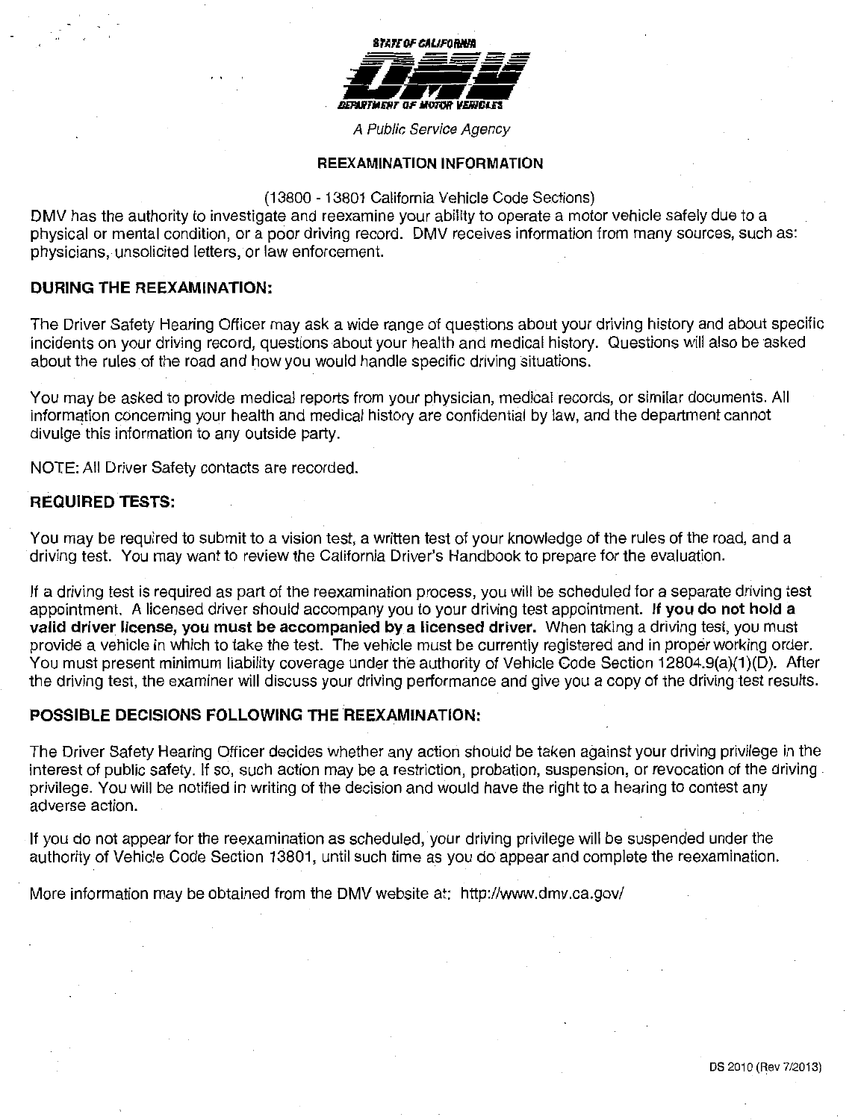

A Public Service Agency

#### **REEXAMINATION INFORMATION**

#### (13800- 13801 California Vehicle Code Sections)

DMV has the authority to investigate and reexamine your ability to operate a motor vehicle safely due to a physical or mental condition, or a poor driving record. DMV receives information from many sources, such as: physicians, unsolicited letters, or law enforcement.

#### **DURING THE REEXAMINATION:**

The Driver Safety Hearing Officer may ask a wide range of questions about your driving history and about specific incidents on your driving record, questions about your health and medical history. Questions will also be asked about the rules of the road and how you would handle specific driving situations.

You may be asked to provide medical reports from your physician, medical records, or similar documents. All information concerning your health and medical history are confidential by law, and the department cannot divulge this information to any outside party.

NOTE: All Driver Safety contacts are recorded.

# **REQUIRED TESTS:**

You may be required to submit to a vision test, a written test of your knowledge of the rules of the road, and a driving test. You may want to review the California Driver's Handbook to prepare for the evaluation.

If a driving test is required as part of the reexamination process, you will be scheduled for a separate driving test appointment. A licensed driver should accompany you to your driving test appointment. **If you do not hold a valid driver license, you must be accompanied by a licensed driver.** When taking a driving test, you must provide a vehicle in which to take the test. The vehicle must be currently registered and in proper working order. You must present minimum liability coverage under the authority of Vehicle Code Section 12804.9(a)(1)(D). After the driving test, the examiner will discuss your driving performance and give you a copy of the driving test results.

# **POSSIBLE DECISIONS FOLLOWING THE REEXAMINATION:**

The Driver Safety Hearing Officer decides whether any action should be taken against your driving privilege in the interest of public safety. If so, such action may be a restriction, probation, suspension, or revocation of the driving privilege. You will be notified in writing of the decision and would have the right to a hearing to contest any adverse action.

If you do not appear for the reexamination as scheduled, your driving privilege will be suspended under the authority of Vehicle Code Section 13801, until such time as you do appear and complete the reexamination.

More information may be obtained from the DMV website at: http://www.dmv.ca.gov/